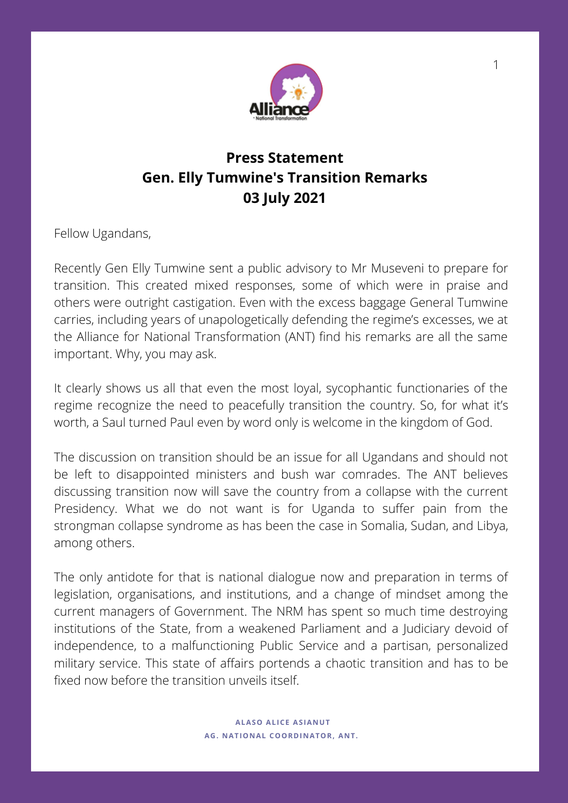

## **Press Statement Gen. Elly Tumwine's Transition Remarks 03 July 2021**

Fellow Ugandans,

Recently Gen Elly Tumwine sent a public advisory to Mr Museveni to prepare for transition. This created mixed responses, some of which were in praise and others were outright castigation. Even with the excess baggage General Tumwine carries, including years of unapologetically defending the regime's excesses, we at the Alliance for National Transformation (ANT) find his remarks are all the same important. Why, you may ask.

It clearly shows us all that even the most loyal, sycophantic functionaries of the regime recognize the need to peacefully transition the country. So, for what it's worth, a Saul turned Paul even by word only is welcome in the kingdom of God.

The discussion on transition should be an issue for all Ugandans and should not be left to disappointed ministers and bush war comrades. The ANT believes discussing transition now will save the country from a collapse with the current Presidency. What we do not want is for Uganda to suffer pain from the strongman collapse syndrome as has been the case in Somalia, Sudan, and Libya, among others.

The only antidote for that is national dialogue now and preparation in terms of legislation, organisations, and institutions, and a change of mindset among the current managers of Government. The NRM has spent so much time destroying institutions of the State, from a weakened Parliament and a Judiciary devoid of independence, to a malfunctioning Public Service and a partisan, personalized military service. This state of affairs portends a chaotic transition and has to be fixed now before the transition unveils itself.